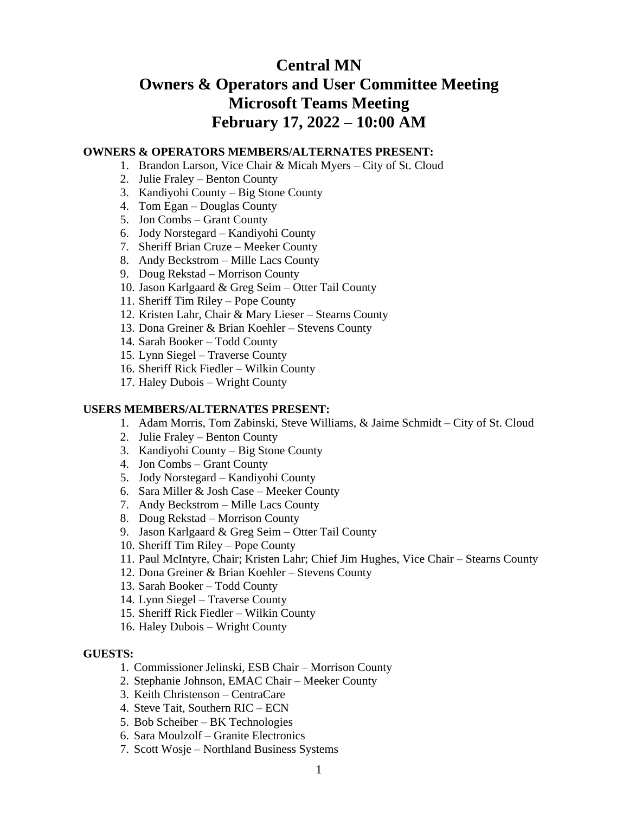# **Central MN Owners & Operators and User Committee Meeting Microsoft Teams Meeting February 17, 2022 – 10:00 AM**

#### **OWNERS & OPERATORS MEMBERS/ALTERNATES PRESENT:**

- 1. Brandon Larson, Vice Chair & Micah Myers City of St. Cloud
	- 2. Julie Fraley Benton County
	- 3. Kandiyohi County Big Stone County
	- 4. Tom Egan Douglas County
	- 5. Jon Combs Grant County
	- 6. Jody Norstegard Kandiyohi County
	- 7. Sheriff Brian Cruze Meeker County
	- 8. Andy Beckstrom Mille Lacs County
	- 9. Doug Rekstad Morrison County
	- 10. Jason Karlgaard & Greg Seim Otter Tail County
	- 11. Sheriff Tim Riley Pope County
	- 12. Kristen Lahr, Chair & Mary Lieser Stearns County
	- 13. Dona Greiner & Brian Koehler Stevens County
	- 14. Sarah Booker Todd County
	- 15. Lynn Siegel Traverse County
	- 16. Sheriff Rick Fiedler Wilkin County
	- 17. Haley Dubois Wright County

## **USERS MEMBERS/ALTERNATES PRESENT:**

- 1. Adam Morris, Tom Zabinski, Steve Williams, & Jaime Schmidt City of St. Cloud
- 2. Julie Fraley Benton County
- 3. Kandiyohi County Big Stone County
- 4. Jon Combs Grant County
- 5. Jody Norstegard Kandiyohi County
- 6. Sara Miller & Josh Case Meeker County
- 7. Andy Beckstrom Mille Lacs County
- 8. Doug Rekstad Morrison County
- 9. Jason Karlgaard & Greg Seim Otter Tail County
- 10. Sheriff Tim Riley Pope County
- 11. Paul McIntyre, Chair; Kristen Lahr; Chief Jim Hughes, Vice Chair Stearns County
- 12. Dona Greiner & Brian Koehler Stevens County
- 13. Sarah Booker Todd County
- 14. Lynn Siegel Traverse County
- 15. Sheriff Rick Fiedler Wilkin County
- 16. Haley Dubois Wright County

#### **GUESTS:**

- 1. Commissioner Jelinski, ESB Chair Morrison County
- 2. Stephanie Johnson, EMAC Chair Meeker County
- 3. Keith Christenson CentraCare
- 4. Steve Tait, Southern RIC ECN
- 5. Bob Scheiber BK Technologies
- 6. Sara Moulzolf Granite Electronics
- 7. Scott Wosje Northland Business Systems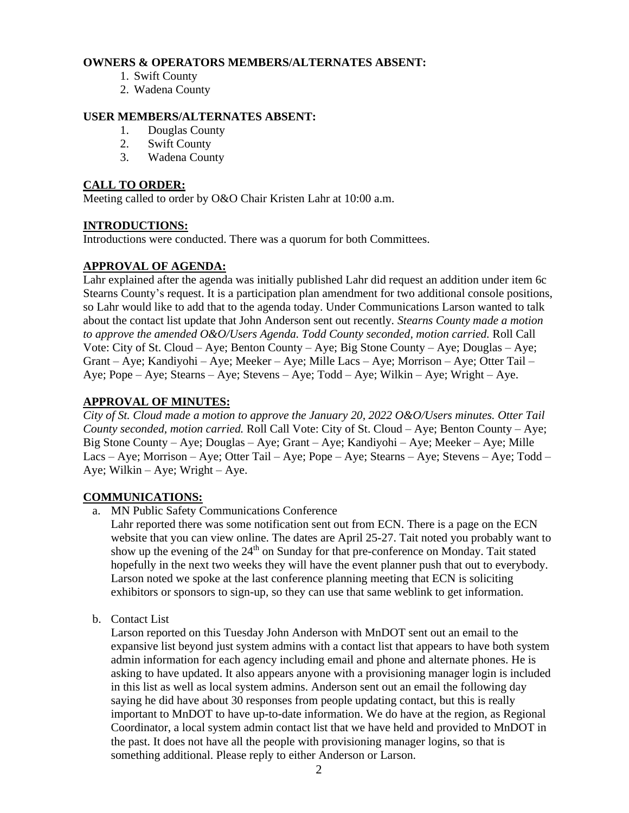#### **OWNERS & OPERATORS MEMBERS/ALTERNATES ABSENT:**

- 1. Swift County
- 2. Wadena County

## **USER MEMBERS/ALTERNATES ABSENT:**

- 1. Douglas County
- 2. Swift County
- 3. Wadena County

#### **CALL TO ORDER:**

Meeting called to order by O&O Chair Kristen Lahr at 10:00 a.m.

## **INTRODUCTIONS:**

Introductions were conducted. There was a quorum for both Committees.

## **APPROVAL OF AGENDA:**

Lahr explained after the agenda was initially published Lahr did request an addition under item 6c Stearns County's request. It is a participation plan amendment for two additional console positions, so Lahr would like to add that to the agenda today. Under Communications Larson wanted to talk about the contact list update that John Anderson sent out recently*. Stearns County made a motion to approve the amended O&O/Users Agenda. Todd County seconded, motion carried.* Roll Call Vote: City of St. Cloud – Aye; Benton County – Aye; Big Stone County – Aye; Douglas – Aye; Grant – Aye; Kandiyohi – Aye; Meeker – Aye; Mille Lacs – Aye; Morrison – Aye; Otter Tail – Aye; Pope – Aye; Stearns – Aye; Stevens – Aye; Todd – Aye; Wilkin – Aye; Wright – Aye.

## **APPROVAL OF MINUTES:**

*City of St. Cloud made a motion to approve the January 20, 2022 O&O/Users minutes. Otter Tail County seconded, motion carried.* Roll Call Vote: City of St. Cloud – Aye; Benton County – Aye; Big Stone County – Aye; Douglas – Aye; Grant – Aye; Kandiyohi – Aye; Meeker – Aye; Mille Lacs – Aye; Morrison – Aye; Otter Tail – Aye; Pope – Aye; Stearns – Aye; Stevens – Aye; Todd – Aye; Wilkin – Aye; Wright – Aye.

## **COMMUNICATIONS:**

a. MN Public Safety Communications Conference

Lahr reported there was some notification sent out from ECN. There is a page on the ECN website that you can view online. The dates are April 25-27. Tait noted you probably want to show up the evening of the 24<sup>th</sup> on Sunday for that pre-conference on Monday. Tait stated hopefully in the next two weeks they will have the event planner push that out to everybody. Larson noted we spoke at the last conference planning meeting that ECN is soliciting exhibitors or sponsors to sign-up, so they can use that same weblink to get information.

b. Contact List

Larson reported on this Tuesday John Anderson with MnDOT sent out an email to the expansive list beyond just system admins with a contact list that appears to have both system admin information for each agency including email and phone and alternate phones. He is asking to have updated. It also appears anyone with a provisioning manager login is included in this list as well as local system admins. Anderson sent out an email the following day saying he did have about 30 responses from people updating contact, but this is really important to MnDOT to have up-to-date information. We do have at the region, as Regional Coordinator, a local system admin contact list that we have held and provided to MnDOT in the past. It does not have all the people with provisioning manager logins, so that is something additional. Please reply to either Anderson or Larson.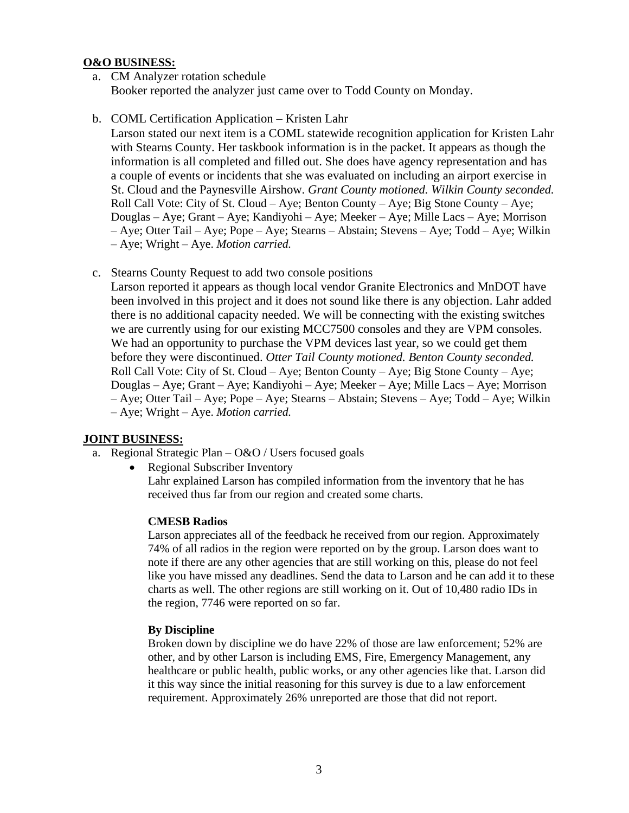#### **O&O BUSINESS:**

- a. CM Analyzer rotation schedule Booker reported the analyzer just came over to Todd County on Monday.
- b. COML Certification Application Kristen Lahr

Larson stated our next item is a COML statewide recognition application for Kristen Lahr with Stearns County. Her taskbook information is in the packet. It appears as though the information is all completed and filled out. She does have agency representation and has a couple of events or incidents that she was evaluated on including an airport exercise in St. Cloud and the Paynesville Airshow. *Grant County motioned. Wilkin County seconded.* Roll Call Vote: City of St. Cloud – Aye; Benton County – Aye; Big Stone County – Aye; Douglas – Aye; Grant – Aye; Kandiyohi – Aye; Meeker – Aye; Mille Lacs – Aye; Morrison – Aye; Otter Tail – Aye; Pope – Aye; Stearns – Abstain; Stevens – Aye; Todd – Aye; Wilkin – Aye; Wright – Aye. *Motion carried.*

c. Stearns County Request to add two console positions

Larson reported it appears as though local vendor Granite Electronics and MnDOT have been involved in this project and it does not sound like there is any objection. Lahr added there is no additional capacity needed. We will be connecting with the existing switches we are currently using for our existing MCC7500 consoles and they are VPM consoles. We had an opportunity to purchase the VPM devices last year, so we could get them before they were discontinued. *Otter Tail County motioned. Benton County seconded.* Roll Call Vote: City of St. Cloud – Aye; Benton County – Aye; Big Stone County – Aye; Douglas – Aye; Grant – Aye; Kandiyohi – Aye; Meeker – Aye; Mille Lacs – Aye; Morrison – Aye; Otter Tail – Aye; Pope – Aye; Stearns – Abstain; Stevens – Aye; Todd – Aye; Wilkin – Aye; Wright – Aye. *Motion carried.*

## **JOINT BUSINESS:**

- a. Regional Strategic Plan O&O / Users focused goals
	- Regional Subscriber Inventory Lahr explained Larson has compiled information from the inventory that he has received thus far from our region and created some charts.

#### **CMESB Radios**

Larson appreciates all of the feedback he received from our region. Approximately 74% of all radios in the region were reported on by the group. Larson does want to note if there are any other agencies that are still working on this, please do not feel like you have missed any deadlines. Send the data to Larson and he can add it to these charts as well. The other regions are still working on it. Out of 10,480 radio IDs in the region, 7746 were reported on so far.

#### **By Discipline**

Broken down by discipline we do have 22% of those are law enforcement; 52% are other, and by other Larson is including EMS, Fire, Emergency Management, any healthcare or public health, public works, or any other agencies like that. Larson did it this way since the initial reasoning for this survey is due to a law enforcement requirement. Approximately 26% unreported are those that did not report.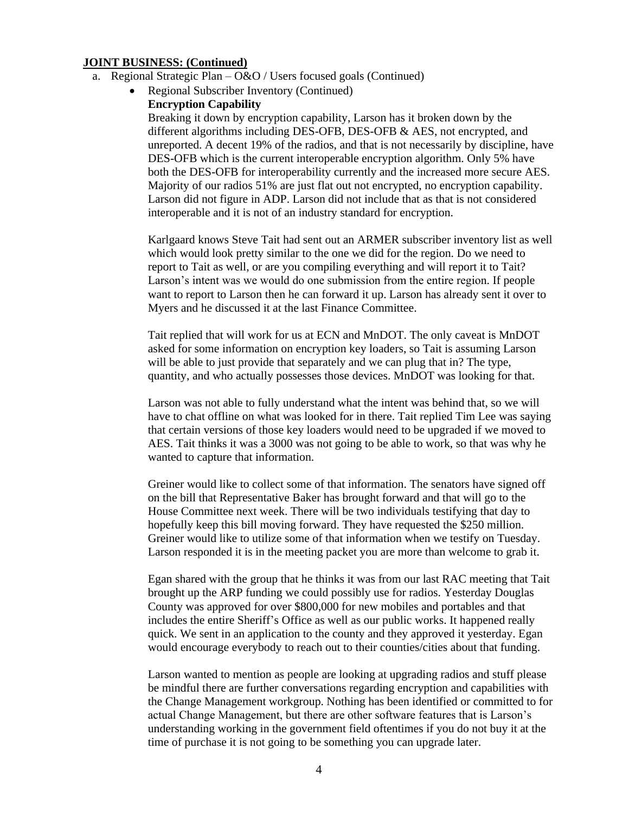- a. Regional Strategic Plan O&O / Users focused goals (Continued)
	- Regional Subscriber Inventory (Continued)
		- **Encryption Capability**

Breaking it down by encryption capability, Larson has it broken down by the different algorithms including DES-OFB, DES-OFB & AES, not encrypted, and unreported. A decent 19% of the radios, and that is not necessarily by discipline, have DES-OFB which is the current interoperable encryption algorithm. Only 5% have both the DES-OFB for interoperability currently and the increased more secure AES. Majority of our radios 51% are just flat out not encrypted, no encryption capability. Larson did not figure in ADP. Larson did not include that as that is not considered interoperable and it is not of an industry standard for encryption.

Karlgaard knows Steve Tait had sent out an ARMER subscriber inventory list as well which would look pretty similar to the one we did for the region. Do we need to report to Tait as well, or are you compiling everything and will report it to Tait? Larson's intent was we would do one submission from the entire region. If people want to report to Larson then he can forward it up. Larson has already sent it over to Myers and he discussed it at the last Finance Committee.

Tait replied that will work for us at ECN and MnDOT. The only caveat is MnDOT asked for some information on encryption key loaders, so Tait is assuming Larson will be able to just provide that separately and we can plug that in? The type, quantity, and who actually possesses those devices. MnDOT was looking for that.

Larson was not able to fully understand what the intent was behind that, so we will have to chat offline on what was looked for in there. Tait replied Tim Lee was saying that certain versions of those key loaders would need to be upgraded if we moved to AES. Tait thinks it was a 3000 was not going to be able to work, so that was why he wanted to capture that information.

Greiner would like to collect some of that information. The senators have signed off on the bill that Representative Baker has brought forward and that will go to the House Committee next week. There will be two individuals testifying that day to hopefully keep this bill moving forward. They have requested the \$250 million. Greiner would like to utilize some of that information when we testify on Tuesday. Larson responded it is in the meeting packet you are more than welcome to grab it.

Egan shared with the group that he thinks it was from our last RAC meeting that Tait brought up the ARP funding we could possibly use for radios. Yesterday Douglas County was approved for over \$800,000 for new mobiles and portables and that includes the entire Sheriff's Office as well as our public works. It happened really quick. We sent in an application to the county and they approved it yesterday. Egan would encourage everybody to reach out to their counties/cities about that funding.

Larson wanted to mention as people are looking at upgrading radios and stuff please be mindful there are further conversations regarding encryption and capabilities with the Change Management workgroup. Nothing has been identified or committed to for actual Change Management, but there are other software features that is Larson's understanding working in the government field oftentimes if you do not buy it at the time of purchase it is not going to be something you can upgrade later.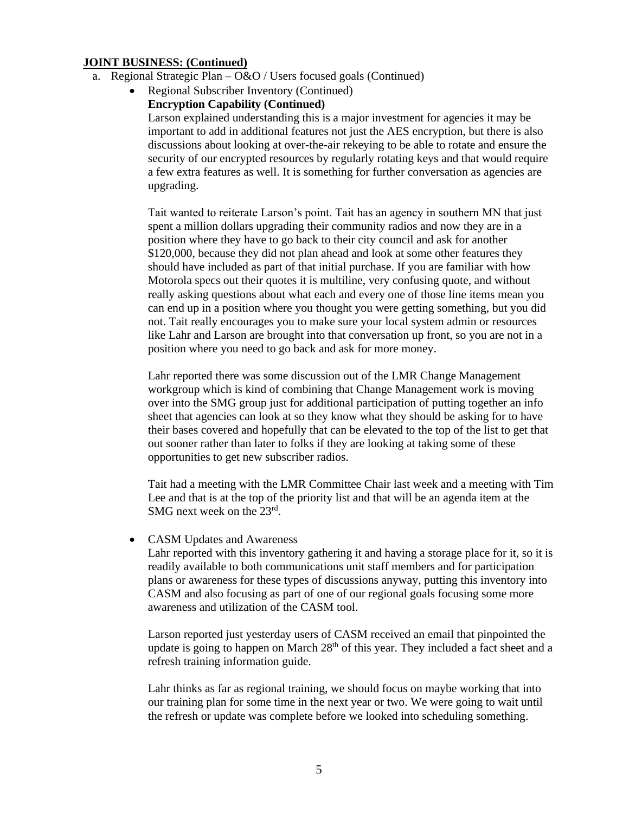- a. Regional Strategic Plan O&O / Users focused goals (Continued)
	- Regional Subscriber Inventory (Continued)
		- **Encryption Capability (Continued)**

Larson explained understanding this is a major investment for agencies it may be important to add in additional features not just the AES encryption, but there is also discussions about looking at over-the-air rekeying to be able to rotate and ensure the security of our encrypted resources by regularly rotating keys and that would require a few extra features as well. It is something for further conversation as agencies are upgrading.

Tait wanted to reiterate Larson's point. Tait has an agency in southern MN that just spent a million dollars upgrading their community radios and now they are in a position where they have to go back to their city council and ask for another \$120,000, because they did not plan ahead and look at some other features they should have included as part of that initial purchase. If you are familiar with how Motorola specs out their quotes it is multiline, very confusing quote, and without really asking questions about what each and every one of those line items mean you can end up in a position where you thought you were getting something, but you did not. Tait really encourages you to make sure your local system admin or resources like Lahr and Larson are brought into that conversation up front, so you are not in a position where you need to go back and ask for more money.

Lahr reported there was some discussion out of the LMR Change Management workgroup which is kind of combining that Change Management work is moving over into the SMG group just for additional participation of putting together an info sheet that agencies can look at so they know what they should be asking for to have their bases covered and hopefully that can be elevated to the top of the list to get that out sooner rather than later to folks if they are looking at taking some of these opportunities to get new subscriber radios.

Tait had a meeting with the LMR Committee Chair last week and a meeting with Tim Lee and that is at the top of the priority list and that will be an agenda item at the SMG next week on the 23<sup>rd</sup>.

#### • CASM Updates and Awareness

Lahr reported with this inventory gathering it and having a storage place for it, so it is readily available to both communications unit staff members and for participation plans or awareness for these types of discussions anyway, putting this inventory into CASM and also focusing as part of one of our regional goals focusing some more awareness and utilization of the CASM tool.

Larson reported just yesterday users of CASM received an email that pinpointed the update is going to happen on March  $28<sup>th</sup>$  of this year. They included a fact sheet and a refresh training information guide.

Lahr thinks as far as regional training, we should focus on maybe working that into our training plan for some time in the next year or two. We were going to wait until the refresh or update was complete before we looked into scheduling something.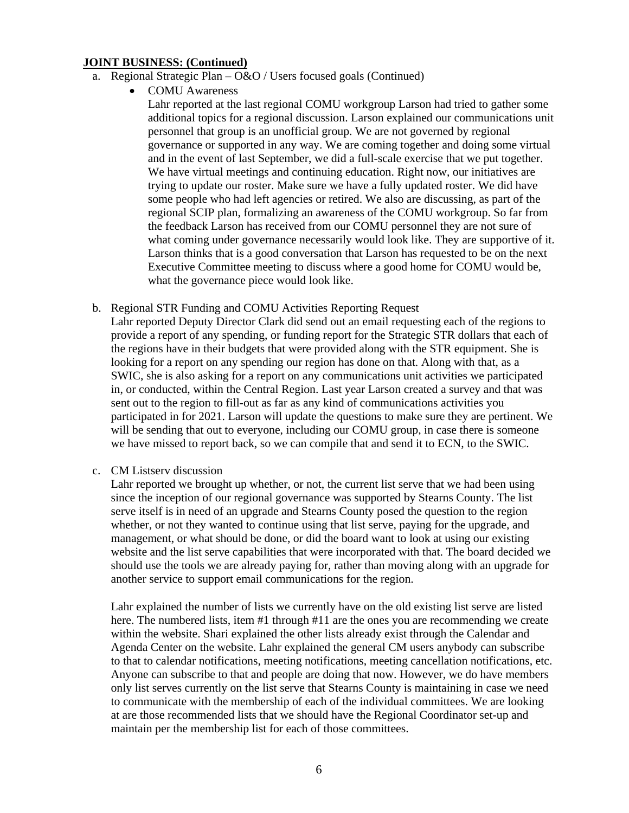- a. Regional Strategic Plan  $O&O$  / Users focused goals (Continued)
	- COMU Awareness

Lahr reported at the last regional COMU workgroup Larson had tried to gather some additional topics for a regional discussion. Larson explained our communications unit personnel that group is an unofficial group. We are not governed by regional governance or supported in any way. We are coming together and doing some virtual and in the event of last September, we did a full-scale exercise that we put together. We have virtual meetings and continuing education. Right now, our initiatives are trying to update our roster. Make sure we have a fully updated roster. We did have some people who had left agencies or retired. We also are discussing, as part of the regional SCIP plan, formalizing an awareness of the COMU workgroup. So far from the feedback Larson has received from our COMU personnel they are not sure of what coming under governance necessarily would look like. They are supportive of it. Larson thinks that is a good conversation that Larson has requested to be on the next Executive Committee meeting to discuss where a good home for COMU would be, what the governance piece would look like.

b. Regional STR Funding and COMU Activities Reporting Request

Lahr reported Deputy Director Clark did send out an email requesting each of the regions to provide a report of any spending, or funding report for the Strategic STR dollars that each of the regions have in their budgets that were provided along with the STR equipment. She is looking for a report on any spending our region has done on that. Along with that, as a SWIC, she is also asking for a report on any communications unit activities we participated in, or conducted, within the Central Region. Last year Larson created a survey and that was sent out to the region to fill-out as far as any kind of communications activities you participated in for 2021. Larson will update the questions to make sure they are pertinent. We will be sending that out to everyone, including our COMU group, in case there is someone we have missed to report back, so we can compile that and send it to ECN, to the SWIC.

c. CM Listserv discussion

Lahr reported we brought up whether, or not, the current list serve that we had been using since the inception of our regional governance was supported by Stearns County. The list serve itself is in need of an upgrade and Stearns County posed the question to the region whether, or not they wanted to continue using that list serve, paying for the upgrade, and management, or what should be done, or did the board want to look at using our existing website and the list serve capabilities that were incorporated with that. The board decided we should use the tools we are already paying for, rather than moving along with an upgrade for another service to support email communications for the region.

Lahr explained the number of lists we currently have on the old existing list serve are listed here. The numbered lists, item #1 through #11 are the ones you are recommending we create within the website. Shari explained the other lists already exist through the Calendar and Agenda Center on the website. Lahr explained the general CM users anybody can subscribe to that to calendar notifications, meeting notifications, meeting cancellation notifications, etc. Anyone can subscribe to that and people are doing that now. However, we do have members only list serves currently on the list serve that Stearns County is maintaining in case we need to communicate with the membership of each of the individual committees. We are looking at are those recommended lists that we should have the Regional Coordinator set-up and maintain per the membership list for each of those committees.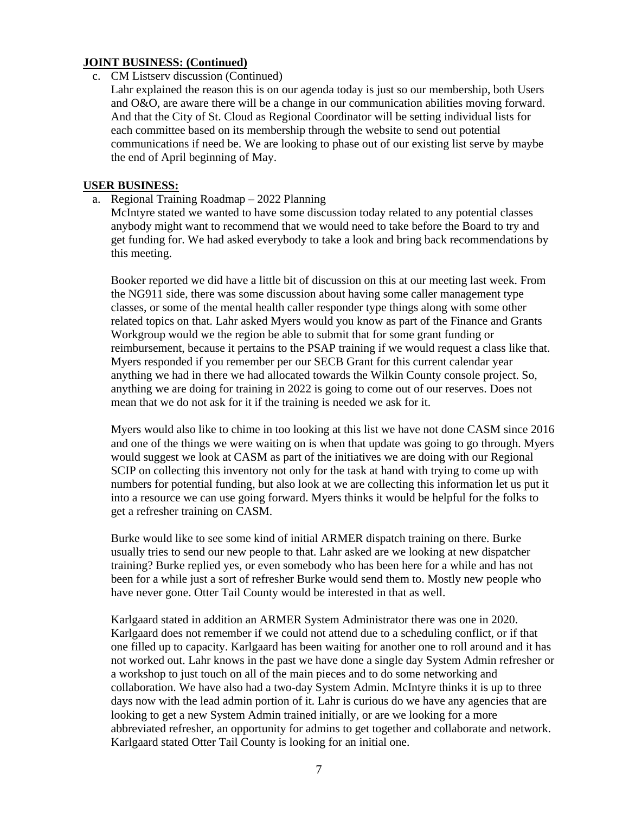- c. CM Listserv discussion (Continued)
	- Lahr explained the reason this is on our agenda today is just so our membership, both Users and O&O, are aware there will be a change in our communication abilities moving forward. And that the City of St. Cloud as Regional Coordinator will be setting individual lists for each committee based on its membership through the website to send out potential communications if need be. We are looking to phase out of our existing list serve by maybe the end of April beginning of May.

#### **USER BUSINESS:**

a. Regional Training Roadmap – 2022 Planning

McIntyre stated we wanted to have some discussion today related to any potential classes anybody might want to recommend that we would need to take before the Board to try and get funding for. We had asked everybody to take a look and bring back recommendations by this meeting.

Booker reported we did have a little bit of discussion on this at our meeting last week. From the NG911 side, there was some discussion about having some caller management type classes, or some of the mental health caller responder type things along with some other related topics on that. Lahr asked Myers would you know as part of the Finance and Grants Workgroup would we the region be able to submit that for some grant funding or reimbursement, because it pertains to the PSAP training if we would request a class like that. Myers responded if you remember per our SECB Grant for this current calendar year anything we had in there we had allocated towards the Wilkin County console project. So, anything we are doing for training in 2022 is going to come out of our reserves. Does not mean that we do not ask for it if the training is needed we ask for it.

Myers would also like to chime in too looking at this list we have not done CASM since 2016 and one of the things we were waiting on is when that update was going to go through. Myers would suggest we look at CASM as part of the initiatives we are doing with our Regional SCIP on collecting this inventory not only for the task at hand with trying to come up with numbers for potential funding, but also look at we are collecting this information let us put it into a resource we can use going forward. Myers thinks it would be helpful for the folks to get a refresher training on CASM.

Burke would like to see some kind of initial ARMER dispatch training on there. Burke usually tries to send our new people to that. Lahr asked are we looking at new dispatcher training? Burke replied yes, or even somebody who has been here for a while and has not been for a while just a sort of refresher Burke would send them to. Mostly new people who have never gone. Otter Tail County would be interested in that as well.

Karlgaard stated in addition an ARMER System Administrator there was one in 2020. Karlgaard does not remember if we could not attend due to a scheduling conflict, or if that one filled up to capacity. Karlgaard has been waiting for another one to roll around and it has not worked out. Lahr knows in the past we have done a single day System Admin refresher or a workshop to just touch on all of the main pieces and to do some networking and collaboration. We have also had a two-day System Admin. McIntyre thinks it is up to three days now with the lead admin portion of it. Lahr is curious do we have any agencies that are looking to get a new System Admin trained initially, or are we looking for a more abbreviated refresher, an opportunity for admins to get together and collaborate and network. Karlgaard stated Otter Tail County is looking for an initial one.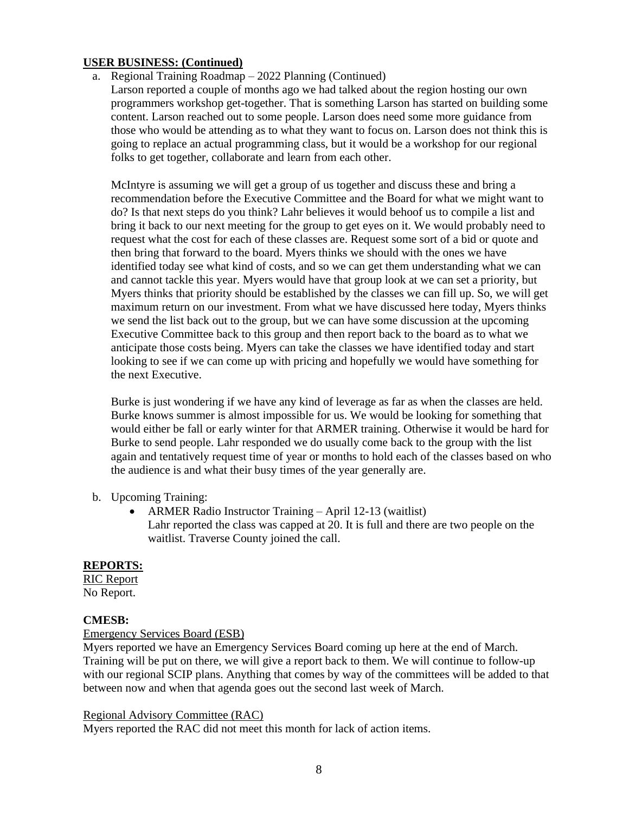## **USER BUSINESS: (Continued)**

a. Regional Training Roadmap – 2022 Planning (Continued)

Larson reported a couple of months ago we had talked about the region hosting our own programmers workshop get-together. That is something Larson has started on building some content. Larson reached out to some people. Larson does need some more guidance from those who would be attending as to what they want to focus on. Larson does not think this is going to replace an actual programming class, but it would be a workshop for our regional folks to get together, collaborate and learn from each other.

McIntyre is assuming we will get a group of us together and discuss these and bring a recommendation before the Executive Committee and the Board for what we might want to do? Is that next steps do you think? Lahr believes it would behoof us to compile a list and bring it back to our next meeting for the group to get eyes on it. We would probably need to request what the cost for each of these classes are. Request some sort of a bid or quote and then bring that forward to the board. Myers thinks we should with the ones we have identified today see what kind of costs, and so we can get them understanding what we can and cannot tackle this year. Myers would have that group look at we can set a priority, but Myers thinks that priority should be established by the classes we can fill up. So, we will get maximum return on our investment. From what we have discussed here today, Myers thinks we send the list back out to the group, but we can have some discussion at the upcoming Executive Committee back to this group and then report back to the board as to what we anticipate those costs being. Myers can take the classes we have identified today and start looking to see if we can come up with pricing and hopefully we would have something for the next Executive.

Burke is just wondering if we have any kind of leverage as far as when the classes are held. Burke knows summer is almost impossible for us. We would be looking for something that would either be fall or early winter for that ARMER training. Otherwise it would be hard for Burke to send people. Lahr responded we do usually come back to the group with the list again and tentatively request time of year or months to hold each of the classes based on who the audience is and what their busy times of the year generally are.

## b. Upcoming Training:

• ARMER Radio Instructor Training – April 12-13 (waitlist) Lahr reported the class was capped at 20. It is full and there are two people on the waitlist. Traverse County joined the call.

## **REPORTS:**

RIC Report No Report.

## **CMESB:**

#### Emergency Services Board (ESB)

Myers reported we have an Emergency Services Board coming up here at the end of March. Training will be put on there, we will give a report back to them. We will continue to follow-up with our regional SCIP plans. Anything that comes by way of the committees will be added to that between now and when that agenda goes out the second last week of March.

#### Regional Advisory Committee (RAC)

Myers reported the RAC did not meet this month for lack of action items.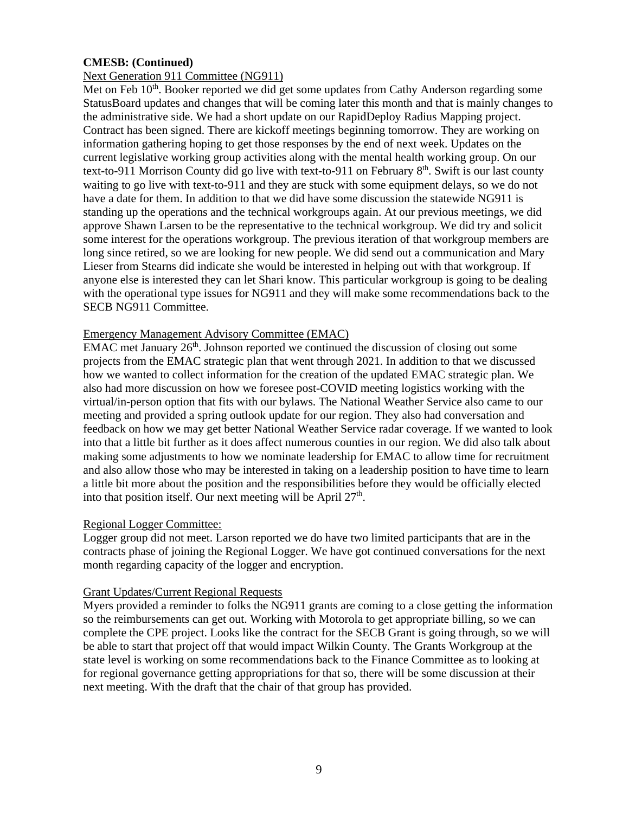## **CMESB: (Continued)**

## Next Generation 911 Committee (NG911)

Met on Feb 10<sup>th</sup>. Booker reported we did get some updates from Cathy Anderson regarding some StatusBoard updates and changes that will be coming later this month and that is mainly changes to the administrative side. We had a short update on our RapidDeploy Radius Mapping project. Contract has been signed. There are kickoff meetings beginning tomorrow. They are working on information gathering hoping to get those responses by the end of next week. Updates on the current legislative working group activities along with the mental health working group. On our text-to-911 Morrison County did go live with text-to-911 on February  $8<sup>th</sup>$ . Swift is our last county waiting to go live with text-to-911 and they are stuck with some equipment delays, so we do not have a date for them. In addition to that we did have some discussion the statewide NG911 is standing up the operations and the technical workgroups again. At our previous meetings, we did approve Shawn Larsen to be the representative to the technical workgroup. We did try and solicit some interest for the operations workgroup. The previous iteration of that workgroup members are long since retired, so we are looking for new people. We did send out a communication and Mary Lieser from Stearns did indicate she would be interested in helping out with that workgroup. If anyone else is interested they can let Shari know. This particular workgroup is going to be dealing with the operational type issues for NG911 and they will make some recommendations back to the SECB NG911 Committee.

#### Emergency Management Advisory Committee (EMAC)

EMAC met January  $26<sup>th</sup>$ . Johnson reported we continued the discussion of closing out some projects from the EMAC strategic plan that went through 2021. In addition to that we discussed how we wanted to collect information for the creation of the updated EMAC strategic plan. We also had more discussion on how we foresee post-COVID meeting logistics working with the virtual/in-person option that fits with our bylaws. The National Weather Service also came to our meeting and provided a spring outlook update for our region. They also had conversation and feedback on how we may get better National Weather Service radar coverage. If we wanted to look into that a little bit further as it does affect numerous counties in our region. We did also talk about making some adjustments to how we nominate leadership for EMAC to allow time for recruitment and also allow those who may be interested in taking on a leadership position to have time to learn a little bit more about the position and the responsibilities before they would be officially elected into that position itself. Our next meeting will be April  $27<sup>th</sup>$ .

#### Regional Logger Committee:

Logger group did not meet. Larson reported we do have two limited participants that are in the contracts phase of joining the Regional Logger. We have got continued conversations for the next month regarding capacity of the logger and encryption.

#### Grant Updates/Current Regional Requests

Myers provided a reminder to folks the NG911 grants are coming to a close getting the information so the reimbursements can get out. Working with Motorola to get appropriate billing, so we can complete the CPE project. Looks like the contract for the SECB Grant is going through, so we will be able to start that project off that would impact Wilkin County. The Grants Workgroup at the state level is working on some recommendations back to the Finance Committee as to looking at for regional governance getting appropriations for that so, there will be some discussion at their next meeting. With the draft that the chair of that group has provided.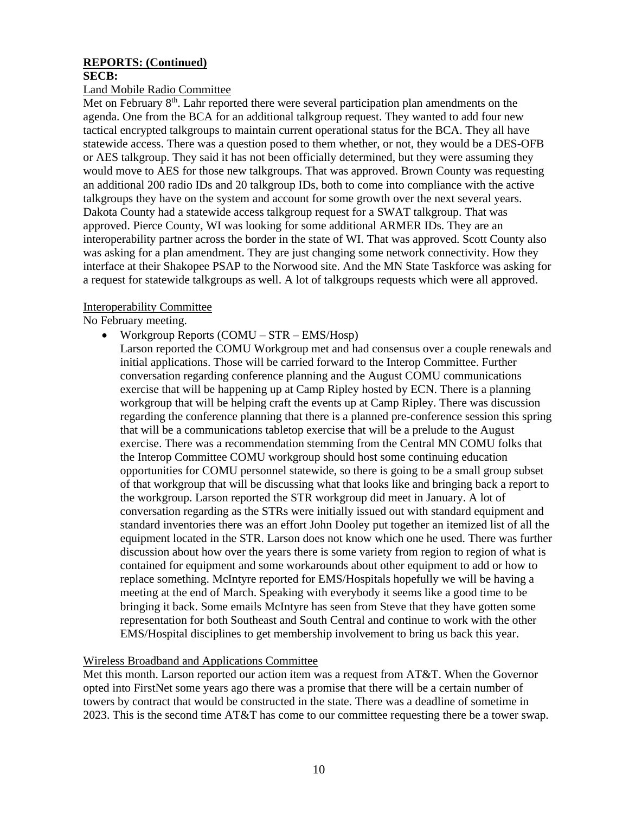## **REPORTS: (Continued)**

#### **SECB:**

#### Land Mobile Radio Committee

Met on February 8<sup>th</sup>. Lahr reported there were several participation plan amendments on the agenda. One from the BCA for an additional talkgroup request. They wanted to add four new tactical encrypted talkgroups to maintain current operational status for the BCA. They all have statewide access. There was a question posed to them whether, or not, they would be a DES-OFB or AES talkgroup. They said it has not been officially determined, but they were assuming they would move to AES for those new talkgroups. That was approved. Brown County was requesting an additional 200 radio IDs and 20 talkgroup IDs, both to come into compliance with the active talkgroups they have on the system and account for some growth over the next several years. Dakota County had a statewide access talkgroup request for a SWAT talkgroup. That was approved. Pierce County, WI was looking for some additional ARMER IDs. They are an interoperability partner across the border in the state of WI. That was approved. Scott County also was asking for a plan amendment. They are just changing some network connectivity. How they interface at their Shakopee PSAP to the Norwood site. And the MN State Taskforce was asking for a request for statewide talkgroups as well. A lot of talkgroups requests which were all approved.

## Interoperability Committee

No February meeting.

- Workgroup Reports (COMU STR EMS/Hosp)
	- Larson reported the COMU Workgroup met and had consensus over a couple renewals and initial applications. Those will be carried forward to the Interop Committee. Further conversation regarding conference planning and the August COMU communications exercise that will be happening up at Camp Ripley hosted by ECN. There is a planning workgroup that will be helping craft the events up at Camp Ripley. There was discussion regarding the conference planning that there is a planned pre-conference session this spring that will be a communications tabletop exercise that will be a prelude to the August exercise. There was a recommendation stemming from the Central MN COMU folks that the Interop Committee COMU workgroup should host some continuing education opportunities for COMU personnel statewide, so there is going to be a small group subset of that workgroup that will be discussing what that looks like and bringing back a report to the workgroup. Larson reported the STR workgroup did meet in January. A lot of conversation regarding as the STRs were initially issued out with standard equipment and standard inventories there was an effort John Dooley put together an itemized list of all the equipment located in the STR. Larson does not know which one he used. There was further discussion about how over the years there is some variety from region to region of what is contained for equipment and some workarounds about other equipment to add or how to replace something. McIntyre reported for EMS/Hospitals hopefully we will be having a meeting at the end of March. Speaking with everybody it seems like a good time to be bringing it back. Some emails McIntyre has seen from Steve that they have gotten some representation for both Southeast and South Central and continue to work with the other EMS/Hospital disciplines to get membership involvement to bring us back this year.

## Wireless Broadband and Applications Committee

Met this month. Larson reported our action item was a request from AT&T. When the Governor opted into FirstNet some years ago there was a promise that there will be a certain number of towers by contract that would be constructed in the state. There was a deadline of sometime in 2023. This is the second time AT&T has come to our committee requesting there be a tower swap.